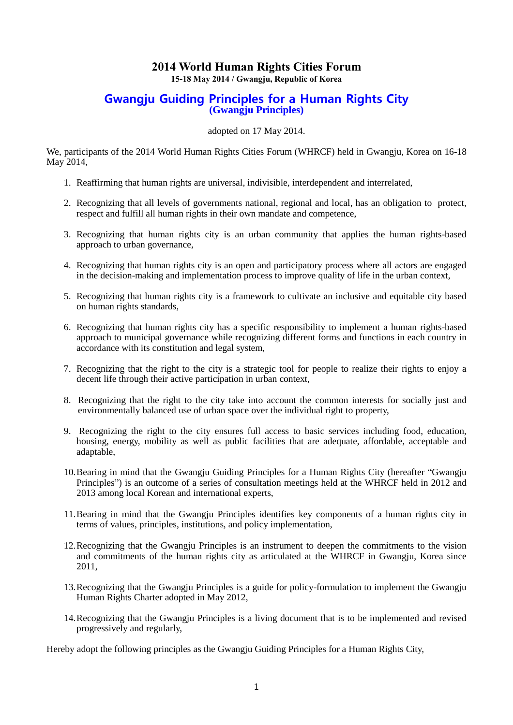# **2014 World Human Rights Cities Forum**

**15-18 May 2014 / Gwangju, Republic of Korea**

## Gwangju Guiding Principles for a Human Rights City **(Gwangju Principles)**

adopted on 17 May 2014.

We, participants of the 2014 World Human Rights Cities Forum (WHRCF) held in Gwangju, Korea on 16-18 May 2014,

- 1. Reaffirming that human rights are universal, indivisible, interdependent and interrelated,
- 2. Recognizing that all levels of governments national, regional and local, has an obligation to protect, respect and fulfill all human rights in their own mandate and competence,
- 3. Recognizing that human rights city is an urban community that applies the human rights-based approach to urban governance,
- 4. Recognizing that human rights city is an open and participatory process where all actors are engaged in the decision-making and implementation process to improve quality of life in the urban context,
- 5. Recognizing that human rights city is a framework to cultivate an inclusive and equitable city based on human rights standards,
- 6. Recognizing that human rights city has a specific responsibility to implement a human rights-based approach to municipal governance while recognizing different forms and functions in each country in accordance with its constitution and legal system,
- 7. Recognizing that the right to the city is a strategic tool for people to realize their rights to enjoy a decent life through their active participation in urban context,
- 8. Recognizing that the right to the city take into account the common interests for socially just and environmentally balanced use of urban space over the individual right to property,
- 9. Recognizing the right to the city ensures full access to basic services including food, education, housing, energy, mobility as well as public facilities that are adequate, affordable, acceptable and adaptable,
- 10.Bearing in mind that the Gwangju Guiding Principles for a Human Rights City (hereafter "Gwangju Principles") is an outcome of a series of consultation meetings held at the WHRCF held in 2012 and 2013 among local Korean and international experts,
- 11.Bearing in mind that the Gwangju Principles identifies key components of a human rights city in terms of values, principles, institutions, and policy implementation,
- 12.Recognizing that the Gwangju Principles is an instrument to deepen the commitments to the vision and commitments of the human rights city as articulated at the WHRCF in Gwangju, Korea since 2011,
- 13.Recognizing that the Gwangju Principles is a guide for policy-formulation to implement the Gwangju Human Rights Charter adopted in May 2012,
- 14.Recognizing that the Gwangju Principles is a living document that is to be implemented and revised progressively and regularly,

Hereby adopt the following principles as the Gwangju Guiding Principles for a Human Rights City,